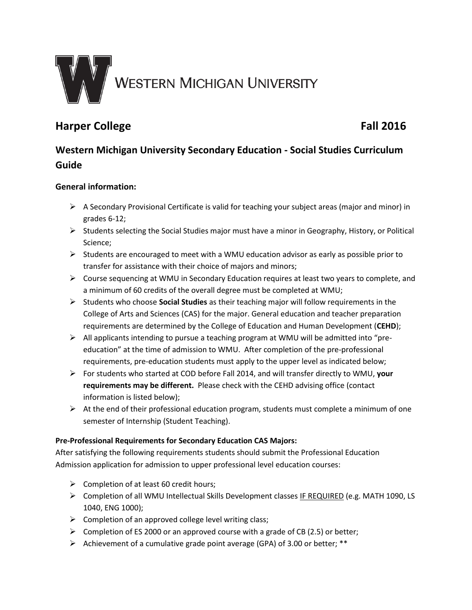

# **Harper College Fall 2016**

# **Western Michigan University Secondary Education - Social Studies Curriculum Guide**

# **General information:**

- $\triangleright$  A Secondary Provisional Certificate is valid for teaching your subject areas (major and minor) in grades 6-12;
- $\triangleright$  Students selecting the Social Studies major must have a minor in Geography, History, or Political Science;
- $\triangleright$  Students are encouraged to meet with a WMU education advisor as early as possible prior to transfer for assistance with their choice of majors and minors;
- $\triangleright$  Course sequencing at WMU in Secondary Education requires at least two years to complete, and a minimum of 60 credits of the overall degree must be completed at WMU;
- Students who choose **Social Studies** as their teaching major will follow requirements in the College of Arts and Sciences (CAS) for the major. General education and teacher preparation requirements are determined by the College of Education and Human Development (**CEHD**);
- $\triangleright$  All applicants intending to pursue a teaching program at WMU will be admitted into "preeducation" at the time of admission to WMU. After completion of the pre-professional requirements, pre-education students must apply to the upper level as indicated below;
- For students who started at COD before Fall 2014, and will transfer directly to WMU, **your requirements may be different.** Please check with the CEHD advising office (contact information is listed below);
- $\triangleright$  At the end of their professional education program, students must complete a minimum of one semester of Internship (Student Teaching).

# **Pre-Professional Requirements for Secondary Education CAS Majors:**

After satisfying the following requirements students should submit the Professional Education Admission application for admission to upper professional level education courses:

- $\triangleright$  Completion of at least 60 credit hours;
- Completion of all WMU Intellectual Skills Development classes IF REQUIRED (e.g. MATH 1090, LS 1040, ENG 1000);
- $\triangleright$  Completion of an approved college level writing class;
- $\triangleright$  Completion of ES 2000 or an approved course with a grade of CB (2.5) or better;
- $\triangleright$  Achievement of a cumulative grade point average (GPA) of 3.00 or better; \*\*